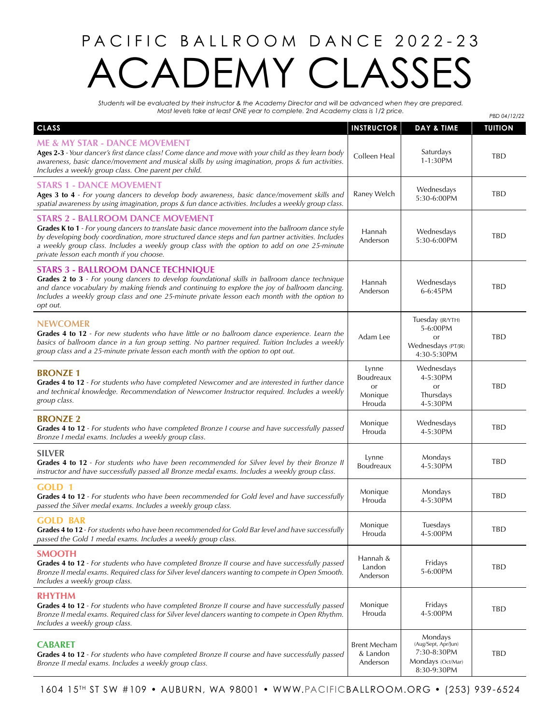## PACIFIC BALLROOM DANCE 2022-23 DEMY CLASSES

*Students will be evaluated by their instructor & the Academy Director and will be advanced when they are prepared. Most levels take at least ONE year to complete. 2nd Academy class is 1/2 price.* 

|                                                                                                                                                                                                                                                                                                                                                                                               |                                               |                                                                                   | PBD 04/12/22   |
|-----------------------------------------------------------------------------------------------------------------------------------------------------------------------------------------------------------------------------------------------------------------------------------------------------------------------------------------------------------------------------------------------|-----------------------------------------------|-----------------------------------------------------------------------------------|----------------|
| <b>CLASS</b>                                                                                                                                                                                                                                                                                                                                                                                  | <b>INSTRUCTOR</b>                             | DAY & TIME                                                                        | <b>TUITION</b> |
| <b>ME &amp; MY STAR - DANCE MOVEMENT</b><br>Ages 2-3 - Your dancer's first dance class! Come dance and move with your child as they learn body<br>awareness, basic dance/movement and musical skills by using imagination, props & fun activities.<br>Includes a weekly group class. One parent per child.                                                                                    | Colleen Heal                                  | Saturdays<br>1-1:30PM                                                             | <b>TBD</b>     |
| <b>STARS 1 - DANCE MOVEMENT</b><br>Ages 3 to 4 - For young dancers to develop body awareness, basic dance/movement skills and<br>spatial awareness by using imagination, props & fun dance activities. Includes a weekly group class.                                                                                                                                                         | Raney Welch                                   | Wednesdays<br>5:30-6:00PM                                                         | <b>TBD</b>     |
| <b>STARS 2 - BALLROOM DANCE MOVEMENT</b><br>Grades K to 1 - For young dancers to translate basic dance movement into the ballroom dance style<br>by developing body coordination, more structured dance steps and fun partner activities. Includes<br>a weekly group class. Includes a weekly group class with the option to add on one 25-minute<br>private lesson each month if you choose. | Hannah<br>Anderson                            | Wednesdays<br>5:30-6:00PM                                                         | TBD            |
| <b>STARS 3 - BALLROOM DANCE TECHNIQUE</b><br>Grades 2 to 3 - For young dancers to develop foundational skills in ballroom dance technique<br>and dance vocabulary by making friends and continuing to explore the joy of ballroom dancing.<br>Includes a weekly group class and one 25-minute private lesson each month with the option to<br>opt out.                                        | Hannah<br>Anderson                            | Wednesdays<br>6-6:45PM                                                            | TBD            |
| <b>NEWCOMER</b><br>Grades 4 to 12 - For new students who have little or no ballroom dance experience. Learn the<br>basics of ballroom dance in a fun group setting. No partner required. Tuition Includes a weekly<br>group class and a 25-minute private lesson each month with the option to opt out.                                                                                       | Adam Lee                                      | Tuesday (JR/YTH)<br>5-6:00PM<br>or<br>Wednesdays (PT/JR)<br>4:30-5:30PM           | TBD            |
| <b>BRONZE 1</b><br>Grades 4 to 12 - For students who have completed Newcomer and are interested in further dance<br>and technical knowledge. Recommendation of Newcomer Instructor required. Includes a weekly<br>group class.                                                                                                                                                                | Lynne<br>Boudreaux<br>or<br>Monique<br>Hrouda | Wednesdays<br>4-5:30PM<br>or<br>Thursdays<br>4-5:30PM                             | <b>TBD</b>     |
| <b>BRONZE 2</b><br>Grades 4 to 12 - For students who have completed Bronze I course and have successfully passed<br>Bronze I medal exams. Includes a weekly group class.                                                                                                                                                                                                                      | Monique<br>Hrouda                             | Wednesdays<br>4-5:30PM                                                            | TBD            |
| <b>SILVER</b><br>Grades 4 to 12 - For students who have been recommended for Silver level by their Bronze II<br>instructor and have successfully passed all Bronze medal exams. Includes a weekly group class.                                                                                                                                                                                | Lynne<br>Boudreaux                            | <b>Mondays</b><br>4-5:30PM                                                        | TBD            |
| GOLD <sub>1</sub><br>Grades 4 to 12 - For students who have been recommended for Gold level and have successfully<br>passed the Silver medal exams. Includes a weekly group class.                                                                                                                                                                                                            | Monique<br>Hrouda                             | Mondays<br>4-5:30PM                                                               | TBD            |
| <b>GOLD BAR</b><br>Grades 4 to 12 - For students who have been recommended for Gold Bar level and have successfully<br>passed the Gold 1 medal exams. Includes a weekly group class.                                                                                                                                                                                                          | Monique<br>Hrouda                             | Tuesdays<br>4-5:00PM                                                              | TBD            |
| <b>SMOOTH</b><br>Grades 4 to 12 - For students who have completed Bronze II course and have successfully passed<br>Bronze II medal exams. Required class for Silver level dancers wanting to compete in Open Smooth.<br>Includes a weekly group class.                                                                                                                                        | Hannah &<br>Landon<br>Anderson                | Fridays<br>5-6:00PM                                                               | TBD            |
| <b>RHYTHM</b><br>Grades 4 to 12 - For students who have completed Bronze II course and have successfully passed<br>Bronze II medal exams. Required class for Silver level dancers wanting to compete in Open Rhythm.<br>Includes a weekly group class.                                                                                                                                        | Monique<br>Hrouda                             | Fridays<br>4-5:00PM                                                               | TBD            |
| <b>CABARET</b><br>Grades 4 to 12 - For students who have completed Bronze II course and have successfully passed<br>Bronze II medal exams. Includes a weekly group class.                                                                                                                                                                                                                     | <b>Brent Mecham</b><br>& Landon<br>Anderson   | Mondays<br>(Aug/Sept, Apr/Jun)<br>7:30-8:30PM<br>Mondays (Oct/Mar)<br>8:30-9:30PM | TBD            |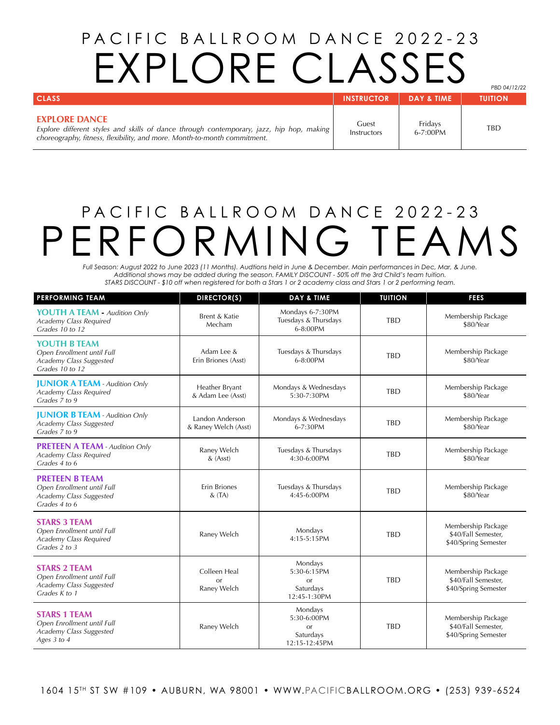## PACIFIC BALLROOM DANCE 2022-23 EXPLORE CLASSES

*PBD 04/12/22*

| <b>CLASS</b>                                                                                                                                                                                 | <b>INSTRUCTOR</b>    | <b>DAY &amp; TIME</b>    | <b>TUITION</b> |
|----------------------------------------------------------------------------------------------------------------------------------------------------------------------------------------------|----------------------|--------------------------|----------------|
| <b>EXPLORE DANCE</b><br>Explore different styles and skills of dance through contemporary, jazz, hip hop, making<br>choreography, fitness, flexibility, and more. Month-to-month commitment. | Guest<br>Instructors | Fridavs<br>$6 - 7:00$ PM | TBD            |

## PACIFIC BALLROOM DANCE 2022-23 PERFORMING TEAMS

*Full Season: August 2022 to June 2023 (11 Months). Audtions held in June & December. Main performances in Dec, Mar, & June. Additional shows may be added during the season. FAMILY DISCOUNT - 50% off the 3rd Child's team tuition. STARS DISCOUNT - \$10 off when registered for both a Stars 1 or 2 academy class and Stars 1 or 2 performing team.*

| <b>PERFORMING TEAM</b>                                                                          | DIRECTOR(S)                               | <b>DAY &amp; TIME</b>                                              | <b>TUITION</b> | <b>FEES</b>                                                       |
|-------------------------------------------------------------------------------------------------|-------------------------------------------|--------------------------------------------------------------------|----------------|-------------------------------------------------------------------|
| <b>YOUTH A TEAM - Audition Only</b><br>Academy Class Required<br>Grades 10 to 12                | Brent & Katie<br>Mecham                   | Mondays 6-7:30PM<br>Tuesdays & Thursdays<br>6-8:00PM               | <b>TBD</b>     | Membership Package<br>\$80/Year                                   |
| YOUTH B TFAM<br>Open Enrollment until Full<br>Academy Class Suggested<br>Grades 10 to 12        | Adam Lee &<br>Erin Briones (Asst)         | Tuesdays & Thursdays<br>$6 - 8:00$ PM                              | <b>TBD</b>     | Membership Package<br>\$80/Year                                   |
| <b>JUNIOR A TEAM - Audition Only</b><br>Academy Class Required<br>Grades 7 to 9                 | Heather Bryant<br>& Adam Lee (Asst)       | Mondays & Wednesdays<br>5:30-7:30PM                                | <b>TBD</b>     | Membership Package<br>\$80/Year                                   |
| <b>JUNIOR B TEAM - Audition Only</b><br>Academy Class Suggested<br>Grades 7 to 9                | Landon Anderson<br>& Raney Welch (Asst)   | Mondays & Wednesdays<br>6-7:30PM                                   | <b>TBD</b>     | Membership Package<br>\$80/Year                                   |
| <b>PRETEEN A TEAM - Audition Only</b><br>Academy Class Required<br>Grades 4 to 6                | Raney Welch<br>$&$ (Asst)                 | Tuesdays & Thursdays<br>4:30-6:00PM                                | <b>TBD</b>     | Membership Package<br>\$80/Year                                   |
| <b>PRETEEN B TEAM</b><br>Open Enrollment until Full<br>Academy Class Suggested<br>Grades 4 to 6 | <b>Erin Briones</b><br>$&$ (TA)           | Tuesdays & Thursdays<br>4:45-6:00PM                                | <b>TBD</b>     | Membership Package<br>\$80/Year                                   |
| <b>STARS 3 TEAM</b><br>Open Enrollment until Full<br>Academy Class Required<br>Grades 2 to 3    | Raney Welch                               | Mondays<br>4:15-5:15PM                                             | <b>TBD</b>     | Membership Package<br>\$40/Fall Semester,<br>\$40/Spring Semester |
| <b>STARS 2 TEAM</b><br>Open Enrollment until Full<br>Academy Class Suggested<br>Grades K to 1   | Colleen Heal<br>$\alpha$ r<br>Raney Welch | Mondays<br>5:30-6:15PM<br><b>or</b><br>Saturdays<br>12:45-1:30PM   | <b>TBD</b>     | Membership Package<br>\$40/Fall Semester,<br>\$40/Spring Semester |
| <b>STARS 1 TEAM</b><br>Open Enrollment until Full<br>Academy Class Suggested<br>Ages 3 to 4     | Raney Welch                               | Mondays<br>5:30-6:00PM<br>$\alpha$ r<br>Saturdays<br>12:15-12:45PM | <b>TBD</b>     | Membership Package<br>\$40/Fall Semester,<br>\$40/Spring Semester |